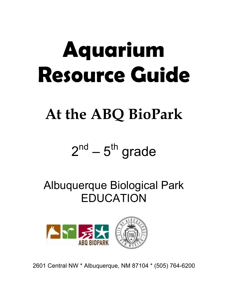# **Aquarium Resource Guide**

### **At the ABQ BioPark**

### $2^{nd} - 5^{th}$  grade

Albuquerque Biological Park EDUCATION



2601 Central NW \* Albuquerque, NM 87104 \* (505) 764-6200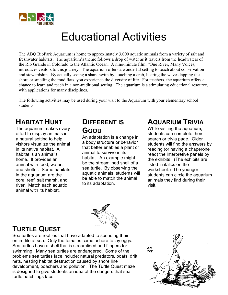

### Educational Activities

The ABQ BioPark Aquarium is home to approximately 3,000 aquatic animals from a variety of salt and freshwater habitats. The aquarium's theme follows a drop of water as it travels from the headwaters of the Rio Grande in Colorado to the Atlantic Ocean. A nine-minute film, "One River, Many Voices," introduces visitors to this journey. The aquarium offers a wonderful setting to teach about conservation and stewardship. By actually seeing a shark swim by, touching a crab, hearing the waves lapping the shore or smelling the mud flats, you experience the diversity of life. For teachers, the aquarium offers a chance to learn and teach in a non-traditional setting. The aquarium is a stimulating educational resource, with applications for many disciplines.

The following activities may be used during your visit to the Aquarium with your elementary school students.

#### **HABITAT HUNT**

The aquarium makes every<br>offert to display animals in effort to display animals in a natural setting to help visitors visualize the animal in its native habitat. A habitat is an animal's home. It provides an animal with food, water, and shelter. Some habitats in the aquarium are the coral reef, salt marsh, and river. Match each aquatic animal with its habitat.

#### **DIFFERENT IS GOOD**

An adaptation is a change in a body structure or behavior that better enables a plant or animal to survive in its habitat. An example might be the streamlined shell of a sea turtle. By observing the aquatic animals, students will be able to match the animal to its adaptation.

#### **AQUARIUM TRIVIA**

While visiting the aquarium, students can complete their search or trivia page. Older students will find the answers by reading (or having a chaperone read) the interpretive panels by the exhibits. (The exhibits are listed in italics on the worksheet.) The younger students can circle the aquarium animals they find during their visit.



#### **TURTLE QUEST**

Sea turtles are reptiles that have adapted to spending their entire life at sea. Only the females come ashore to lay eggs. Sea turtles have a shell that is streamlined and flippers for swimming. Many sea turtles are endangered. Some of the problems sea turtles face include: natural predators, boats, drift nets, nesting habitat destruction caused by shore line development, poachers and pollution. The Turtle Quest maze is designed to give students an idea of the dangers that sea turtle hatchlings face.

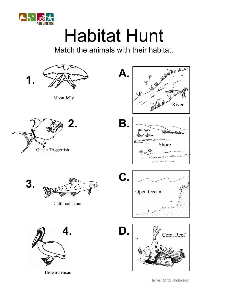

### Habitat Hunt

Match the animals with their habitat.



MARMERS 1C' 3D' 3V' 1B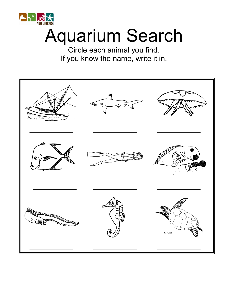

### Aquarium Search

Circle each animal you find. If you know the name, write it in.

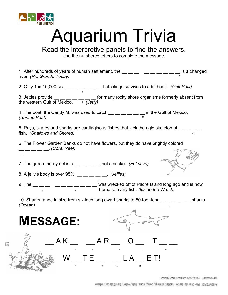

 $E_{EFT}$ 

### Aquarium Trivia

#### Read the interpretive panels to find the answers.

Use the numbered letters to complete the message.

| 1. After hundreds of years of human settlement, the $\_\_\_\_$ $\_\_\_\_$ $\_\_\_$ $\_\_\_$ is a changed<br>river. (Rio Grande Today)                                                            |    |
|--------------------------------------------------------------------------------------------------------------------------------------------------------------------------------------------------|----|
| 2. Only 1 in 10,000 sea $\underline{\hspace{1cm}}\underline{\hspace{1cm}}\underline{\hspace{1cm}}\underline{\hspace{1cm}}\underline{\hspace{1cm}}$ hatchlings survives to adulthood. (Gulf Past) |    |
| 3. Jetties provide __ __ _ _ _ _ _ _ for many rocky shore organisms formerly absent from the western Gulf of Mexico.                                                                             |    |
| 4. The boat, the Candy M, was used to catch $\underline{\hspace{1cm}}\_\_\_\_\_\_\_$ in the Gulf of Mexico.<br>(Shrimn Boat)<br>(Shrimp Boat)                                                    |    |
| 5. Rays, skates and sharks are cartilaginous fishes that lack the rigid skeleton of<br>fish. (Shallows and Shores)                                                                               | 11 |
| 6. The Flower Garden Banks do not have flowers, but they do have brightly colored                                                                                                                |    |
| <i>Coral Reef)</i> . (Coral Reef)<br>3                                                                                                                                                           |    |
| 7. The green moray eel is a $\frac{1}{5}$ __ _ _ _ , not a snake. (Eel cave)                                                                                                                     |    |
| 8. A jelly's body is over $95\%$ __ _ _ _ _ _ (Jellies)                                                                                                                                          |    |
| 9. The __ _ _ _ _ _ _ _ _ _ _ _ _ _ was wrecked off of Padre Island long ago and is now home to many fish. ( <i>Inside the Wreck</i> )                                                           |    |
| 10. Sharks range in size from six-inch long dwarf sharks to 50-foot-long __ _ _ _ _ _ sharks.                                                                                                    |    |
| (Ocean)<br>6                                                                                                                                                                                     |    |
| <b>MESSAGE:</b><br>$\frac{1}{2}$ (KM)                                                                                                                                                            |    |
| $\begin{array}{cccccccccccccc} \mathsf{AK} & \hspace{0.1cm} & \mathsf{AR} & \hspace{0.1cm} & \mathsf{O} & \hspace{0.1cm} & \mathsf{T} & \hspace{0.1cm} \mathsf{I} \end{array}$                   |    |
| $2 \t 3 \t 4$<br>$W_T E_{--}$ $LA$ $E T!$<br>$\overline{9}$<br>$\overline{\mathbf{8}}$<br>10<br>11                                                                                               |    |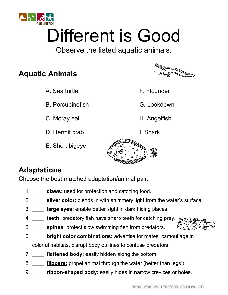

## Different is Good

Observe the listed aquatic animals.

#### **Aquatic Animals**

A. Sea turtle F. Flounder

B. Porcupinefish G. Lookdown

C. Moray eel H. Angelfish

D. Hermit crab I. Shark

E. Short bigeye



- 
- 
- 
- 



#### **Adaptations**

Choose the best matched adaptation/animal pair.

- 1. \_\_\_\_ **claws:** used for protection and catching food.
- 2. \_\_\_\_ **silver color:** blends in with shimmery light from the water's surface.
- 3. \_\_\_\_ **large eyes:** enable better sight in dark hiding places.
- 4. \_\_\_\_ **teeth:** predatory fish have sharp teeth for catching prey.
- 5. \_\_\_\_ **spines:** protect slow swimming fish from predators.
- 6. \_\_\_\_ **bright color combinations:** advertise for mates; camouflage in colorful habitats, disrupt body outlines to confuse predators.
- 7. \_\_\_\_ **flattened body:** easily hidden along the bottom.
- 8. \_\_\_\_ **flippers:** propel animal through the water (better than legs!)
- 9. **ribbon-shaped body:** easily hides in narrow crevices or holes.